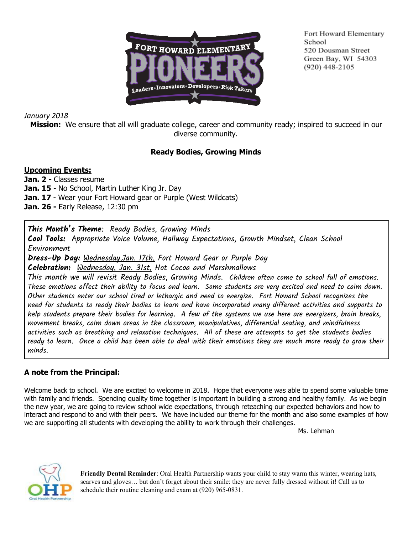

Fort Howard Elementary School 520 Dousman Street Green Bay, WI 54303  $(920)$  448-2105

## *January 2018*

**Mission:** We ensure that all will graduate college, career and community ready; inspired to succeed in our diverse community.

# **Ready Bodies, Growing Minds**

## **Upcoming Events:**

**Jan. 2 -** Classes resume **Jan. 15** - No School, Martin Luther King Jr. Day **Jan. 17** - Wear your Fort Howard gear or Purple (West Wildcats) **Jan. 26 -** Early Release, 12:30 pm

**This Month's Theme**: Ready Bodies, Growing Minds

**Cool Tools:** Appropriate Voice Volume, Hallway Expectations, Growth Mindset, Clean School Environment

**Dress-Up Day:** Wednesday,Jan. 17th, Fort Howard Gear or Purple Day

**Celebration:** Wednesday, Jan. 31st, Hot Cocoa and Marshmallows

This month we will revisit Ready Bodies, Growing Minds. Children often come to school full of emotions. These emotions affect their ability to focus and learn. Some students are very excited and need to calm down. Other students enter our school tired or lethargic and need to energize. Fort Howard School recognizes the need for students to ready their bodies to learn and have incorporated many different activities and supports to help students prepare their bodies for learning. A few of the systems we use here are energizers, brain breaks, movement breaks, calm down areas in the classroom, manipulatives, differential seating, and mindfulness activities such as breathing and relaxation techniques. All of these are attempts to get the students bodies ready to learn. Once a child has been able to deal with their emotions they are much more ready to grow their minds.

## **A note from the Principal:**

Welcome back to school. We are excited to welcome in 2018. Hope that everyone was able to spend some valuable time with family and friends. Spending quality time together is important in building a strong and healthy family. As we begin the new year, we are going to review school wide expectations, through reteaching our expected behaviors and how to interact and respond to and with their peers. We have included our theme for the month and also some examples of how we are supporting all students with developing the ability to work through their challenges.

Ms. Lehman



**Friendly Dental Reminder**: Oral Health Partnership wants your child to stay warm this winter, wearing hats, scarves and gloves… but don't forget about their smile: they are never fully dressed without it! Call us to schedule their routine cleaning and exam at (920) 965-0831.